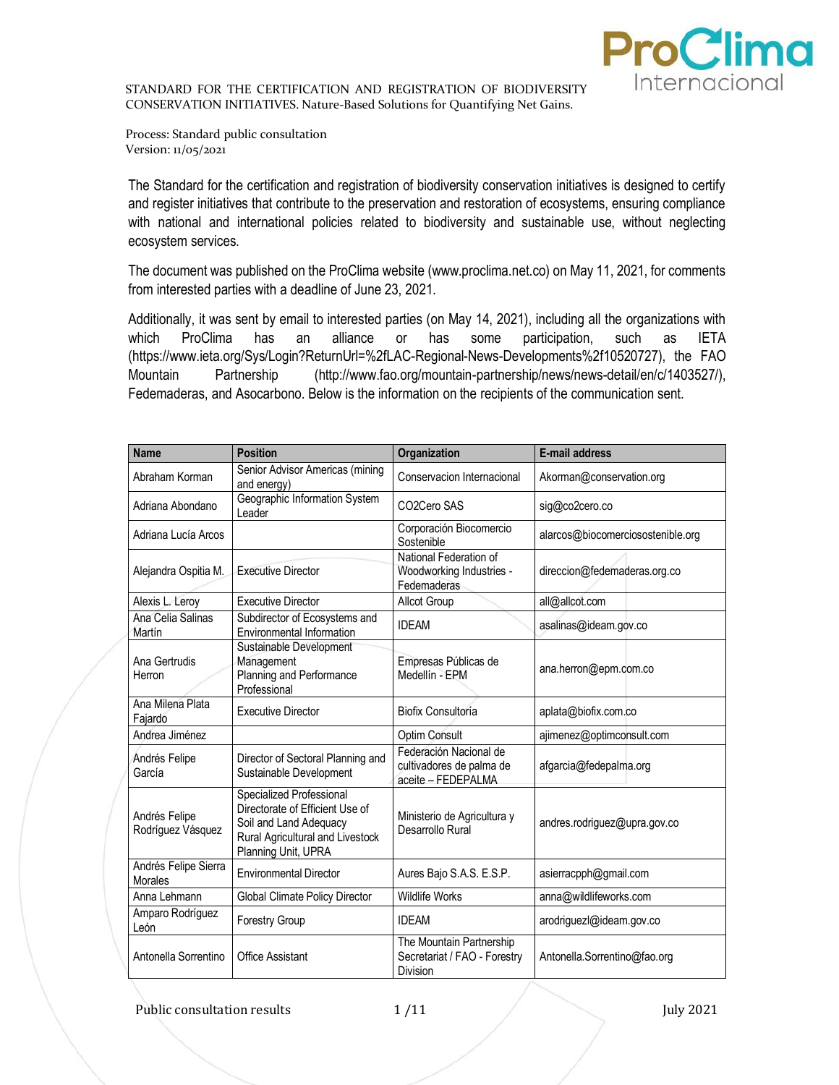

Process: Standard public consultation Version: 11/05/2021

The Standard for the certification and registration of biodiversity conservation initiatives is designed to certify and register initiatives that contribute to the preservation and restoration of ecosystems, ensuring compliance with national and international policies related to biodiversity and sustainable use, without neglecting ecosystem services.

The document was published on the ProClima website (www.proclima.net.co) on May 11, 2021, for comments from interested parties with a deadline of June 23, 2021.

Additionally, it was sent by email to interested parties (on May 14, 2021), including all the organizations with which ProClima has an alliance or has some participation, such as IETA (https://www.ieta.org/Sys/Login?ReturnUrl=%2fLAC-Regional-News-Developments%2f10520727), the FAO Mountain Partnership (http://www.fao.org/mountain-partnership/news/news-detail/en/c/1403527/), Fedemaderas, and Asocarbono. Below is the information on the recipients of the communication sent.

| <b>Name</b>                            | <b>Position</b>                                                                                                                                  | Organization                                                                | <b>E-mail address</b>             |
|----------------------------------------|--------------------------------------------------------------------------------------------------------------------------------------------------|-----------------------------------------------------------------------------|-----------------------------------|
| Abraham Korman                         | Senior Advisor Americas (mining<br>and energy)                                                                                                   | Conservacion Internacional                                                  | Akorman@conservation.org          |
| Adriana Abondano                       | Geographic Information System<br>Leader                                                                                                          | CO <sub>2</sub> Cero SAS                                                    | sig@co2cero.co                    |
| Adriana Lucía Arcos                    |                                                                                                                                                  | Corporación Biocomercio<br>Sostenible                                       | alarcos@biocomerciosostenible.org |
| Alejandra Ospitia M.                   | <b>Executive Director</b>                                                                                                                        | National Federation of<br>Woodworking Industries -<br>Fedemaderas           | direccion@fedemaderas.org.co      |
| Alexis L. Leroy                        | <b>Executive Director</b>                                                                                                                        | Allcot Group                                                                | all@allcot.com                    |
| Ana Celia Salinas<br>Martín            | Subdirector of Ecosystems and<br>Environmental Information                                                                                       | <b>IDEAM</b>                                                                | asalinas@ideam.gov.co             |
| Ana Gertrudis<br>Herron                | Sustainable Development<br>Management<br>Planning and Performance<br>Professional                                                                | Empresas Públicas de<br>Medellín - EPM                                      | ana.herron@epm.com.co             |
| Ana Milena Plata<br>Fajardo            | <b>Executive Director</b>                                                                                                                        | Biofix Consultoría                                                          | aplata@biofix.com.co              |
| Andrea Jiménez                         |                                                                                                                                                  | Optim Consult                                                               | ajimenez@optimconsult.com         |
| Andrés Felipe<br>García                | Director of Sectoral Planning and<br>Sustainable Development                                                                                     | Federación Nacional de<br>cultivadores de palma de<br>aceite - FEDEPALMA    | afgarcia@fedepalma.org            |
| Andrés Felipe<br>Rodríguez Vásquez     | Specialized Professional<br>Directorate of Efficient Use of<br>Soil and Land Adequacy<br>Rural Agricultural and Livestock<br>Planning Unit, UPRA | Ministerio de Agricultura y<br>Desarrollo Rural                             | andres.rodriguez@upra.gov.co      |
| Andrés Felipe Sierra<br><b>Morales</b> | <b>Environmental Director</b>                                                                                                                    | Aures Bajo S.A.S. E.S.P.                                                    | asierracpph@gmail.com             |
| Anna Lehmann                           | Global Climate Policy Director                                                                                                                   | <b>Wildlife Works</b>                                                       | anna@wildlifeworks.com            |
| Amparo Rodríguez<br>León               | <b>Forestry Group</b>                                                                                                                            | <b>IDFAM</b>                                                                | arodriguezl@ideam.gov.co          |
| Antonella Sorrentino                   | <b>Office Assistant</b>                                                                                                                          | The Mountain Partnership<br>Secretariat / FAO - Forestry<br><b>Division</b> | Antonella.Sorrentino@fao.org      |

Public consultation results 1/11 July 2021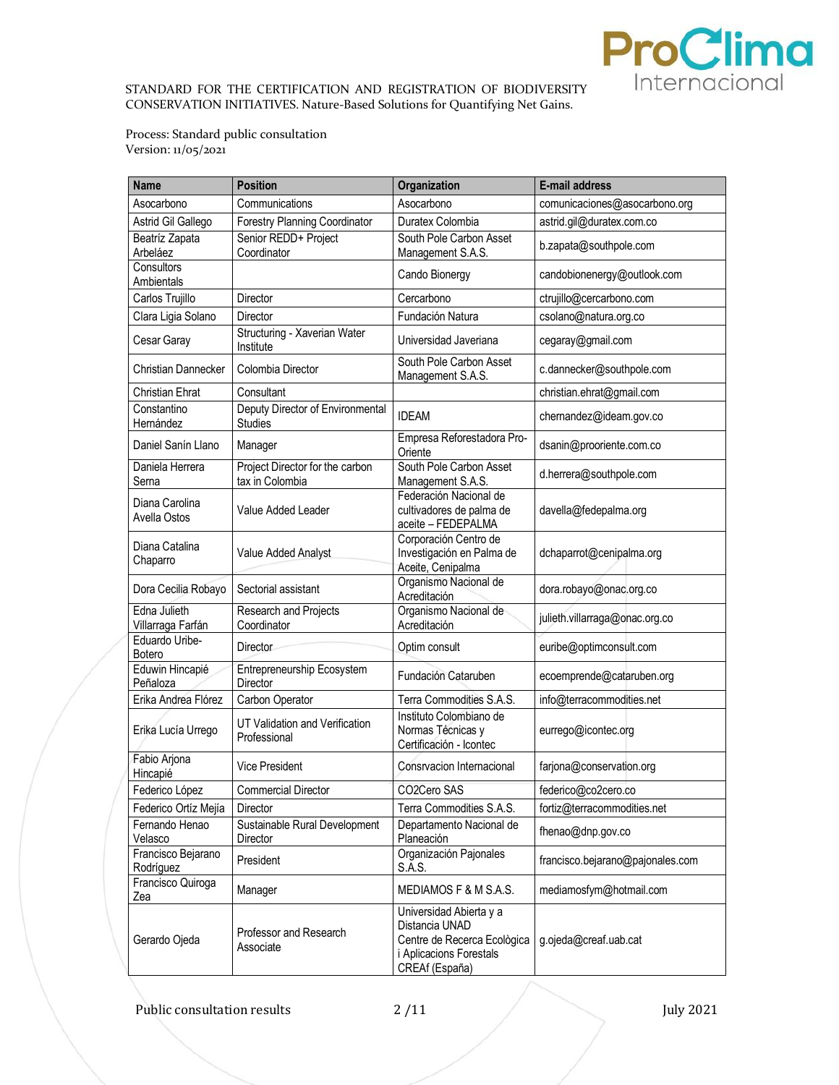

Process: Standard public consultation Version: 11/05/2021

| <b>Name</b>                       | <b>Position</b>                                    | Organization                                                                                                          | E-mail address                   |
|-----------------------------------|----------------------------------------------------|-----------------------------------------------------------------------------------------------------------------------|----------------------------------|
| Asocarbono                        | Communications                                     | Asocarbono                                                                                                            | comunicaciones@asocarbono.org    |
| Astrid Gil Gallego                | Forestry Planning Coordinator                      | Duratex Colombia                                                                                                      | astrid.gil@duratex.com.co        |
| Beatríz Zapata<br>Arbeláez        | Senior REDD+ Project<br>Coordinator                | South Pole Carbon Asset<br>Management S.A.S.                                                                          | b.zapata@southpole.com           |
| Consultors<br>Ambientals          |                                                    | Cando Bionergy                                                                                                        | candobionenergy@outlook.com      |
| Carlos Trujillo                   | <b>Director</b>                                    | Cercarbono                                                                                                            | ctrujillo@cercarbono.com         |
| Clara Ligia Solano                | <b>Director</b>                                    | Fundación Natura                                                                                                      | csolano@natura.org.co            |
| Cesar Garay                       | Structuring - Xaverian Water<br>Institute          | Universidad Javeriana                                                                                                 | cegaray@gmail.com                |
| <b>Christian Dannecker</b>        | Colombia Director                                  | South Pole Carbon Asset<br>Management S.A.S.                                                                          | c.dannecker@southpole.com        |
| Christian Ehrat                   | Consultant                                         |                                                                                                                       | christian.ehrat@gmail.com        |
| Constantino<br>Hernández          | Deputy Director of Environmental<br><b>Studies</b> | <b>IDEAM</b>                                                                                                          | chernandez@ideam.gov.co          |
| Daniel Sanín Llano                | Manager                                            | Empresa Reforestadora Pro-<br>Oriente                                                                                 | dsanin@prooriente.com.co         |
| Daniela Herrera<br>Serna          | Project Director for the carbon<br>tax in Colombia | South Pole Carbon Asset<br>Management S.A.S.                                                                          | d.herrera@southpole.com          |
| Diana Carolina<br>Avella Ostos    | Value Added Leader                                 | Federación Nacional de<br>cultivadores de palma de<br>aceite - FEDEPALMA                                              | davella@fedepalma.org            |
| Diana Catalina<br>Chaparro        | Value Added Analyst                                | Corporación Centro de<br>Investigación en Palma de<br>Aceite, Cenipalma                                               | dchaparrot@cenipalma.org         |
| Dora Cecilia Robayo               | Sectorial assistant                                | Organismo Nacional de<br>Acreditación                                                                                 | dora.robayo@onac.org.co          |
| Edna Julieth<br>Villarraga Farfán | Research and Projects<br>Coordinator               | Organismo Nacional de<br>Acreditación                                                                                 | julieth.villarraga@onac.org.co   |
| Eduardo Uribe-<br>Botero          | <b>Director</b>                                    | Optim consult                                                                                                         | euribe@optimconsult.com          |
| Eduwin Hincapié<br>Peñaloza       | Entrepreneurship Ecosystem<br>Director             | Fundación Cataruben                                                                                                   | ecoemprende@cataruben.org        |
| Erika Andrea Flórez               | Carbon Operator                                    | Terra Commodities S.A.S.                                                                                              | info@terracommodities.net        |
| Erika Lucía Urrego                | UT Validation and Verification<br>Professional     | Instituto Colombiano de<br>Normas Técnicas y<br>Certificación - Icontec                                               | eurrego@icontec.org              |
| Fabio Arjona<br>Hincapié          | <b>Vice President</b>                              | Consrvacion Internacional                                                                                             | farjona@conservation.org         |
| Federico López                    | <b>Commercial Director</b>                         | CO2Cero SAS                                                                                                           | federico@co2cero.co              |
| Federico Ortíz Mejía              | Director                                           | Terra Commodities S.A.S.                                                                                              | fortiz@terracommodities.net      |
| Fernando Henao<br>Velasco         | Sustainable Rural Development<br>Director          | Departamento Nacional de<br>Planeación                                                                                | fhenao@dnp.gov.co                |
| Francisco Bejarano<br>Rodríguez   | President                                          | Organización Pajonales<br>S.A.S.                                                                                      | francisco.bejarano@pajonales.com |
| Francisco Quiroga<br>Zea          | Manager                                            | MEDIAMOS F & M S.A.S.                                                                                                 | mediamosfym@hotmail.com          |
| Gerardo Ojeda                     | Professor and Research<br>Associate                | Universidad Abierta y a<br>Distancia UNAD<br>Centre de Recerca Ecològica<br>i Aplicacions Forestals<br>CREAf (España) | g.ojeda@creaf.uab.cat            |

Public consultation results 2 /11 July 2021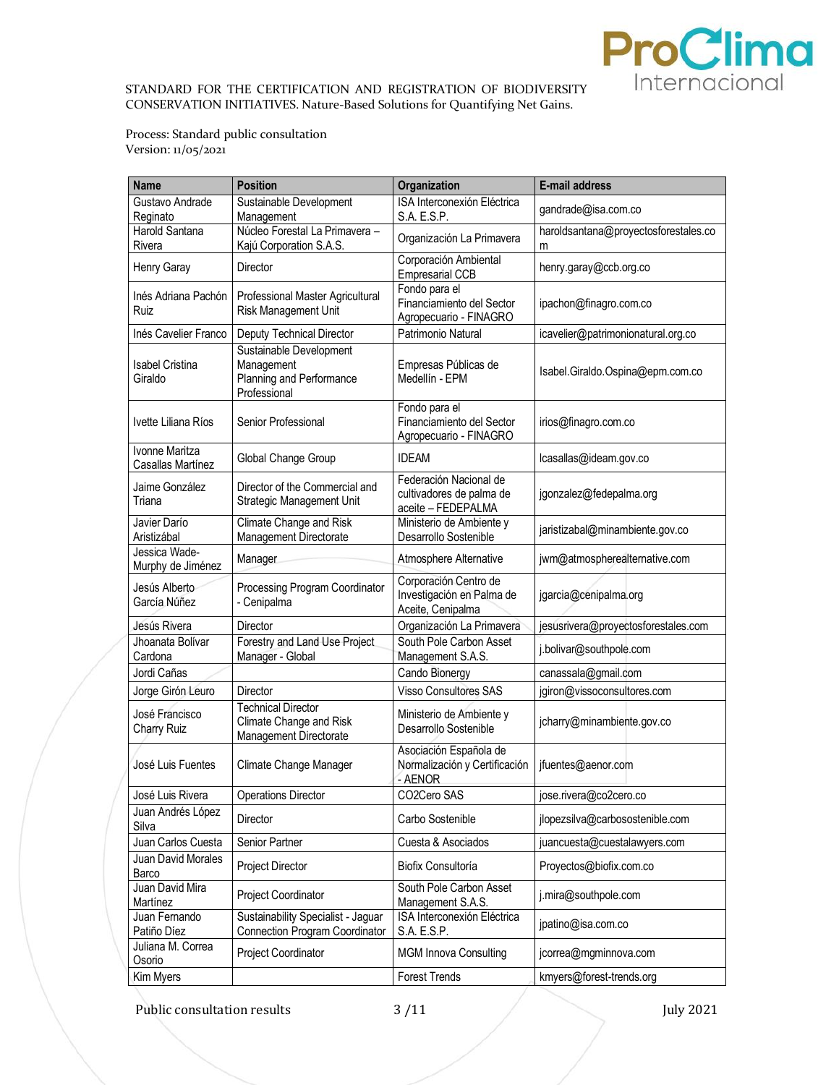

Process: Standard public consultation Version: 11/05/2021

| <b>Name</b>                                | <b>Position</b>                                                                   | Organization                                                             | E-mail address                            |
|--------------------------------------------|-----------------------------------------------------------------------------------|--------------------------------------------------------------------------|-------------------------------------------|
| Gustavo Andrade                            | Sustainable Development                                                           | ISA Interconexión Eléctrica                                              | gandrade@isa.com.co                       |
| Reginato                                   | Management                                                                        | S.A. E.S.P.                                                              |                                           |
| Harold Santana<br>Rivera                   | Núcleo Forestal La Primavera -<br>Kajú Corporation S.A.S.                         | Organización La Primavera                                                | haroldsantana@proyectosforestales.co<br>m |
| Henry Garay                                | <b>Director</b>                                                                   | Corporación Ambiental<br><b>Empresarial CCB</b>                          | henry.garay@ccb.org.co                    |
| Inés Adriana Pachón<br>Ruiz                | Professional Master Agricultural<br>Risk Management Unit                          | Fondo para el<br>Financiamiento del Sector<br>Agropecuario - FINAGRO     | ipachon@finagro.com.co                    |
| Inés Cavelier Franco                       | Deputy Technical Director                                                         | Patrimonio Natural                                                       | icavelier@patrimonionatural.org.co        |
| <b>Isabel Cristina</b><br>Giraldo          | Sustainable Development<br>Management<br>Planning and Performance<br>Professional | Empresas Públicas de<br>Medellín - EPM                                   | Isabel.Giraldo.Ospina@epm.com.co          |
| Ivette Liliana Ríos                        | Senior Professional                                                               | Fondo para el<br>Financiamiento del Sector<br>Agropecuario - FINAGRO     | irios@finagro.com.co                      |
| <b>Ivonne Maritza</b><br>Casallas Martínez | Global Change Group                                                               | <b>IDEAM</b>                                                             | lcasallas@ideam.gov.co                    |
| Jaime González<br>Triana                   | Director of the Commercial and<br>Strategic Management Unit                       | Federación Nacional de<br>cultivadores de palma de<br>aceite - FEDEPALMA | jgonzalez@fedepalma.org                   |
| Javier Darío<br>Aristizábal                | Climate Change and Risk<br>Management Directorate                                 | Ministerio de Ambiente y<br>Desarrollo Sostenible                        | jaristizabal@minambiente.gov.co           |
| Jessica Wade-<br>Murphy de Jiménez         | Manager                                                                           | Atmosphere Alternative                                                   | jwm@atmospherealternative.com             |
| Jesús Alberto<br>García Núñez              | Processing Program Coordinator<br>- Cenipalma                                     | Corporación Centro de<br>Investigación en Palma de<br>Aceite, Cenipalma  | jgarcia@cenipalma.org                     |
| Jesús Rivera                               | <b>Director</b>                                                                   | Organización La Primavera                                                | jesusrivera@proyectosforestales.com       |
| Jhoanata Bolívar<br>Cardona                | Forestry and Land Use Project<br>Manager - Global                                 | South Pole Carbon Asset<br>Management S.A.S.                             | j.bolivar@southpole.com                   |
| Jordi Cañas                                |                                                                                   | Cando Bionergy                                                           | canassala@gmail.com                       |
| Jorge Girón Leuro                          | Director                                                                          | <b>Visso Consultores SAS</b>                                             | jgiron@vissoconsultores.com               |
| José Francisco<br>Charry Ruiz              | <b>Technical Director</b><br>Climate Change and Risk<br>Management Directorate    | Ministerio de Ambiente y<br>Desarrollo Sostenible                        | jcharry@minambiente.gov.co                |
| José Luis Fuentes                          | Climate Change Manager                                                            | Asociación Española de<br>Normalización y Certificación<br>- AENOR       | jfuentes@aenor.com                        |
| José Luis Rivera                           | <b>Operations Director</b>                                                        | CO2Cero SAS                                                              | jose.rivera@co2cero.co                    |
| Juan Andrés López<br>Silva                 | Director                                                                          | Carbo Sostenible                                                         | jlopezsilva@carbosostenible.com           |
| Juan Carlos Cuesta                         | Senior Partner                                                                    | Cuesta & Asociados                                                       | juancuesta@cuestalawyers.com              |
| Juan David Morales<br>Barco                | Project Director                                                                  | Biofix Consultoría                                                       | Proyectos@biofix.com.co                   |
| Juan David Mira<br>Martínez                | Project Coordinator                                                               | South Pole Carbon Asset<br>Management S.A.S.                             | j.mira@southpole.com                      |
| Juan Fernando<br>Patiño Díez               | Sustainability Specialist - Jaguar<br><b>Connection Program Coordinator</b>       | ISA Interconexión Eléctrica<br>S.A. E.S.P.                               | jpatino@isa.com.co                        |
| Juliana M. Correa<br>Osorio                | Project Coordinator                                                               | <b>MGM Innova Consulting</b>                                             | jcorrea@mgminnova.com                     |
| Kim Myers                                  |                                                                                   | <b>Forest Trends</b>                                                     | kmyers@forest-trends.org                  |

Public consultation results 3/11 July 2021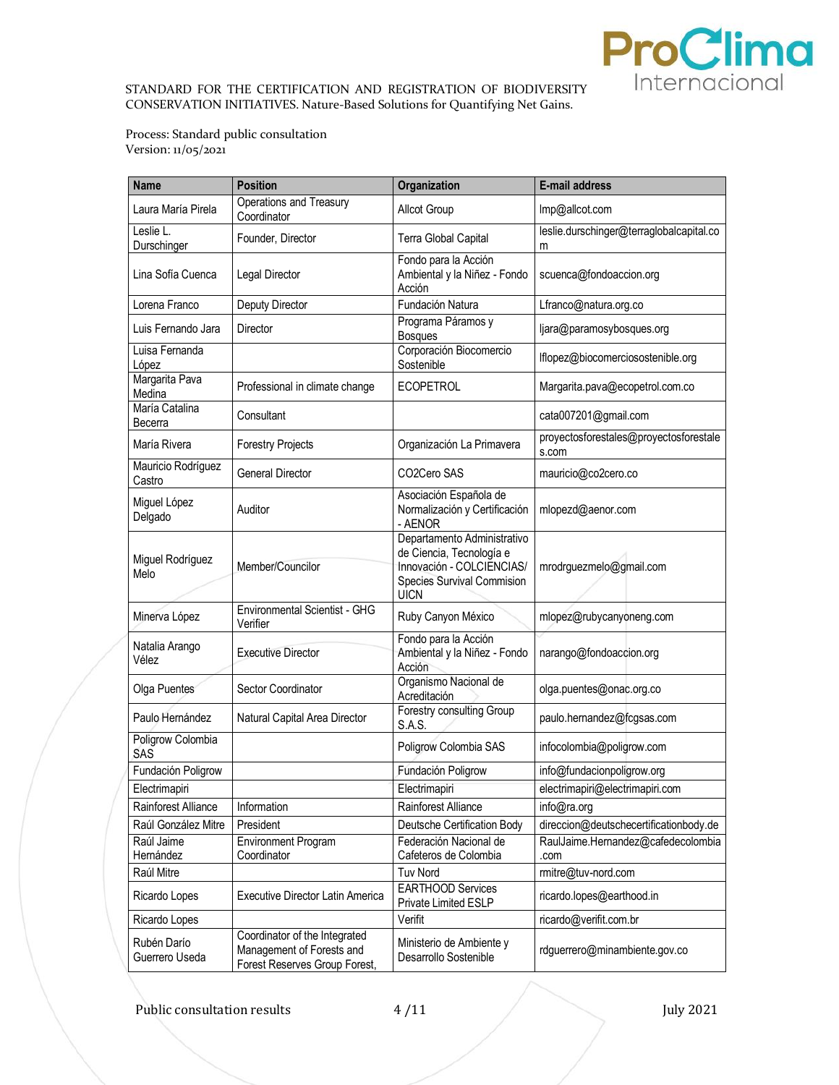

Process: Standard public consultation Version: 11/05/2021

| <b>Name</b>                   | <b>Position</b>                                                                             | Organization                                                                                                                      | E-mail address                                  |
|-------------------------------|---------------------------------------------------------------------------------------------|-----------------------------------------------------------------------------------------------------------------------------------|-------------------------------------------------|
| Laura María Pirela            | Operations and Treasury<br>Coordinator                                                      | Allcot Group                                                                                                                      | Imp@allcot.com                                  |
| Leslie L.<br>Durschinger      | Founder, Director                                                                           | Terra Global Capital                                                                                                              | leslie.durschinger@terraglobalcapital.co<br>m   |
| Lina Sofía Cuenca             | Legal Director                                                                              | Fondo para la Acción<br>Ambiental y la Niñez - Fondo<br>Acción                                                                    | scuenca@fondoaccion.org                         |
| Lorena Franco                 | Deputy Director                                                                             | Fundación Natura                                                                                                                  | Lfranco@natura.org.co                           |
| Luis Fernando Jara            | Director                                                                                    | Programa Páramos y<br><b>Bosques</b>                                                                                              | ljara@paramosybosques.org                       |
| Luisa Fernanda<br>López       |                                                                                             | Corporación Biocomercio<br>Sostenible                                                                                             | lflopez@biocomerciosostenible.org               |
| Margarita Pava<br>Medina      | Professional in climate change                                                              | <b>ECOPETROL</b>                                                                                                                  | Margarita.pava@ecopetrol.com.co                 |
| María Catalina<br>Becerra     | Consultant                                                                                  |                                                                                                                                   | cata007201@gmail.com                            |
| María Rivera                  | <b>Forestry Projects</b>                                                                    | Organización La Primavera                                                                                                         | proyectosforestales@proyectosforestale<br>s.com |
| Mauricio Rodríguez<br>Castro  | <b>General Director</b>                                                                     | CO2Cero SAS                                                                                                                       | mauricio@co2cero.co                             |
| Miguel López<br>Delgado       | Auditor                                                                                     | Asociación Española de<br>Normalización y Certificación<br>- AENOR                                                                | mlopezd@aenor.com                               |
| Miguel Rodríguez<br>Melo      | Member/Councilor                                                                            | Departamento Administrativo<br>de Ciencia, Tecnología e<br>Innovación - COLCIENCIAS/<br>Species Survival Commision<br><b>UICN</b> | mrodrguezmelo@gmail.com                         |
| Minerva López                 | Environmental Scientist - GHG<br>Verifier                                                   | Ruby Canyon México                                                                                                                | mlopez@rubycanyoneng.com                        |
| Natalia Arango<br>Vélez       | <b>Executive Director</b>                                                                   | Fondo para la Acción<br>Ambiental y la Niñez - Fondo<br>Acción                                                                    | narango@fondoaccion.org                         |
| Olga Puentes                  | Sector Coordinator                                                                          | Organismo Nacional de<br>Acreditación                                                                                             | olga.puentes@onac.org.co                        |
| Paulo Hernández               | Natural Capital Area Director                                                               | Forestry consulting Group<br>S.A.S.                                                                                               | paulo.hernandez@fcgsas.com                      |
| Poligrow Colombia<br>SAS      |                                                                                             | Poligrow Colombia SAS                                                                                                             | infocolombia@poligrow.com                       |
| Fundación Poligrow            |                                                                                             | Fundación Poligrow                                                                                                                | info@fundacionpoligrow.org                      |
| Electrimapiri                 |                                                                                             | Electrimapiri                                                                                                                     | electrimapiri@electrimapiri.com                 |
| Rainforest Alliance           | Information                                                                                 | Rainforest Alliance                                                                                                               | info@ra.org                                     |
| Raúl González Mitre           | President                                                                                   | Deutsche Certification Body                                                                                                       | direccion@deutschecertificationbody.de          |
| Raúl Jaime<br>Hernández       | <b>Environment Program</b><br>Coordinator                                                   | Federación Nacional de<br>Cafeteros de Colombia                                                                                   | RaulJaime.Hernandez@cafedecolombia<br>.com      |
| Raúl Mitre                    |                                                                                             | <b>Tuv Nord</b>                                                                                                                   | rmitre@tuv-nord.com                             |
| Ricardo Lopes                 | <b>Executive Director Latin America</b>                                                     | EARTHOOD Services<br>Private Limited ESLP                                                                                         | ricardo.lopes@earthood.in                       |
| Ricardo Lopes                 |                                                                                             | Verifit                                                                                                                           | ricardo@verifit.com.br                          |
| Rubén Darío<br>Guerrero Useda | Coordinator of the Integrated<br>Management of Forests and<br>Forest Reserves Group Forest, | Ministerio de Ambiente y<br>Desarrollo Sostenible                                                                                 | rdguerrero@minambiente.gov.co                   |

Public consultation results 4 /11 July 2021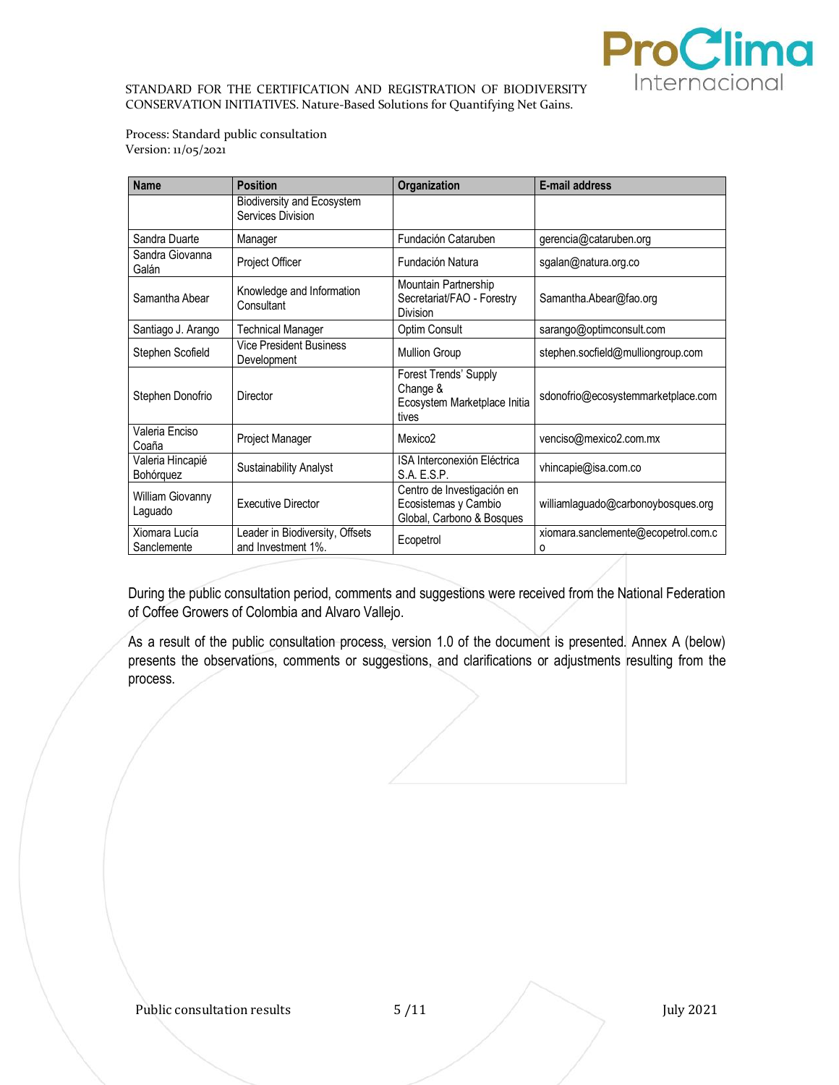

Process: Standard public consultation Version: 11/05/2021

| <b>Name</b>                   | <b>Position</b>                                       | Organization                                                                    | <b>E-mail address</b>                    |
|-------------------------------|-------------------------------------------------------|---------------------------------------------------------------------------------|------------------------------------------|
|                               | Biodiversity and Ecosystem<br>Services Division       |                                                                                 |                                          |
| Sandra Duarte                 | Manager                                               | Fundación Cataruben                                                             | gerencia@cataruben.org                   |
| Sandra Giovanna<br>Galán      | Project Officer                                       | Fundación Natura                                                                | sgalan@natura.org.co                     |
| Samantha Abear                | Knowledge and Information<br>Consultant               | Mountain Partnership<br>Secretariat/FAO - Forestry<br>Division                  | Samantha.Abear@fao.org                   |
| Santiago J. Arango            | <b>Technical Manager</b>                              | Optim Consult                                                                   | sarango@optimconsult.com                 |
| Stephen Scofield              | <b>Vice President Business</b><br>Development         | <b>Mullion Group</b>                                                            | stephen.socfield@mulliongroup.com        |
| Stephen Donofrio              | Director                                              | Forest Trends' Supply<br>Change &<br>Ecosystem Marketplace Initia<br>tives      | sdonofrio@ecosystemmarketplace.com       |
| Valeria Enciso<br>Coaña       | Project Manager                                       | Mexico <sub>2</sub>                                                             | venciso@mexico2.com.mx                   |
| Valeria Hincapié<br>Bohórquez | <b>Sustainability Analyst</b>                         | ISA Interconexión Eléctrica<br>S.A. E.S.P.                                      | vhincapie@isa.com.co                     |
| William Giovanny<br>Laguado   | <b>Executive Director</b>                             | Centro de Investigación en<br>Ecosistemas y Cambio<br>Global, Carbono & Bosques | williamlaguado@carbonoybosques.org       |
| Xiomara Lucía<br>Sanclemente  | Leader in Biodiversity, Offsets<br>and Investment 1%. | Ecopetrol                                                                       | xiomara.sanclemente@ecopetrol.com.c<br>O |

During the public consultation period, comments and suggestions were received from the National Federation of Coffee Growers of Colombia and Alvaro Vallejo.

As a result of the public consultation process, version 1.0 of the document is presented. Annex A (below) presents the observations, comments or suggestions, and clarifications or adjustments resulting from the process.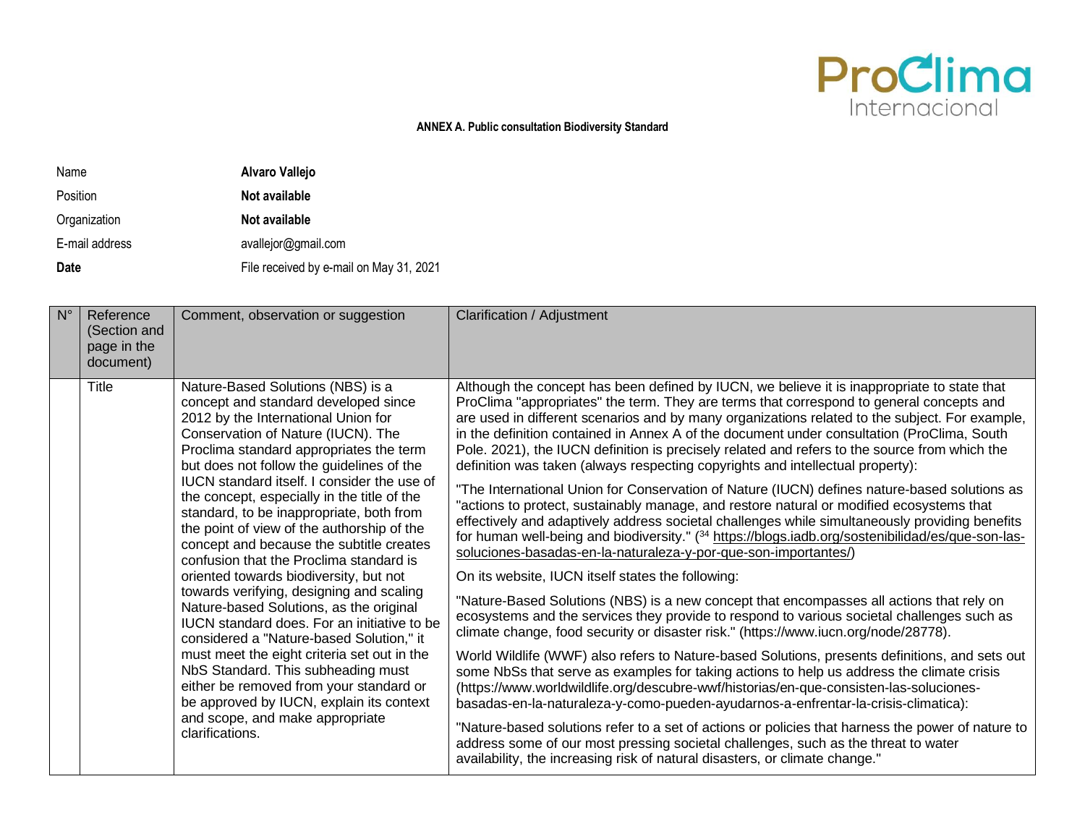

## **ANNEX A. Public consultation Biodiversity Standard**

Name **Alvaro Vallejo** Position **Not available** Organization **Not available** E-mail address availejor@gmail.com **Date Date Example 21** File received by e-mail on May 31, 2021

| $N^{\circ}$ | Reference<br>(Section and<br>page in the<br>document) | Comment, observation or suggestion                                                                                                                                                                                                                                                                                                                                                                               | Clarification / Adjustment                                                                                                                                                                                                                                                                                                                                                                                                                                                                                                                                                 |
|-------------|-------------------------------------------------------|------------------------------------------------------------------------------------------------------------------------------------------------------------------------------------------------------------------------------------------------------------------------------------------------------------------------------------------------------------------------------------------------------------------|----------------------------------------------------------------------------------------------------------------------------------------------------------------------------------------------------------------------------------------------------------------------------------------------------------------------------------------------------------------------------------------------------------------------------------------------------------------------------------------------------------------------------------------------------------------------------|
|             | Title                                                 | Nature-Based Solutions (NBS) is a<br>concept and standard developed since<br>2012 by the International Union for<br>Conservation of Nature (IUCN). The<br>Proclima standard appropriates the term<br>but does not follow the guidelines of the                                                                                                                                                                   | Although the concept has been defined by IUCN, we believe it is inappropriate to state that<br>ProClima "appropriates" the term. They are terms that correspond to general concepts and<br>are used in different scenarios and by many organizations related to the subject. For example,<br>in the definition contained in Annex A of the document under consultation (ProClima, South<br>Pole. 2021), the IUCN definition is precisely related and refers to the source from which the<br>definition was taken (always respecting copyrights and intellectual property): |
|             |                                                       | <b>IUCN</b> standard itself. I consider the use of<br>the concept, especially in the title of the<br>standard, to be inappropriate, both from<br>the point of view of the authorship of the<br>concept and because the subtitle creates<br>confusion that the Proclima standard is                                                                                                                               | "The International Union for Conservation of Nature (IUCN) defines nature-based solutions as<br>"actions to protect, sustainably manage, and restore natural or modified ecosystems that<br>effectively and adaptively address societal challenges while simultaneously providing benefits<br>for human well-being and biodiversity." ( <sup>34</sup> https://blogs.iadb.org/sostenibilidad/es/que-son-las-<br>soluciones-basadas-en-la-naturaleza-y-por-que-son-importantes/)                                                                                             |
|             |                                                       | oriented towards biodiversity, but not                                                                                                                                                                                                                                                                                                                                                                           | On its website, IUCN itself states the following:                                                                                                                                                                                                                                                                                                                                                                                                                                                                                                                          |
|             |                                                       | towards verifying, designing and scaling<br>Nature-based Solutions, as the original<br>IUCN standard does. For an initiative to be<br>considered a "Nature-based Solution," it<br>must meet the eight criteria set out in the<br>NbS Standard. This subheading must<br>either be removed from your standard or<br>be approved by IUCN, explain its context<br>and scope, and make appropriate<br>clarifications. | "Nature-Based Solutions (NBS) is a new concept that encompasses all actions that rely on<br>ecosystems and the services they provide to respond to various societal challenges such as<br>climate change, food security or disaster risk." (https://www.iucn.org/node/28778).                                                                                                                                                                                                                                                                                              |
|             |                                                       |                                                                                                                                                                                                                                                                                                                                                                                                                  | World Wildlife (WWF) also refers to Nature-based Solutions, presents definitions, and sets out<br>some NbSs that serve as examples for taking actions to help us address the climate crisis<br>(https://www.worldwildlife.org/descubre-wwf/historias/en-que-consisten-las-soluciones-<br>basadas-en-la-naturaleza-y-como-pueden-ayudarnos-a-enfrentar-la-crisis-climatica):                                                                                                                                                                                                |
|             |                                                       |                                                                                                                                                                                                                                                                                                                                                                                                                  | "Nature-based solutions refer to a set of actions or policies that harness the power of nature to<br>address some of our most pressing societal challenges, such as the threat to water<br>availability, the increasing risk of natural disasters, or climate change."                                                                                                                                                                                                                                                                                                     |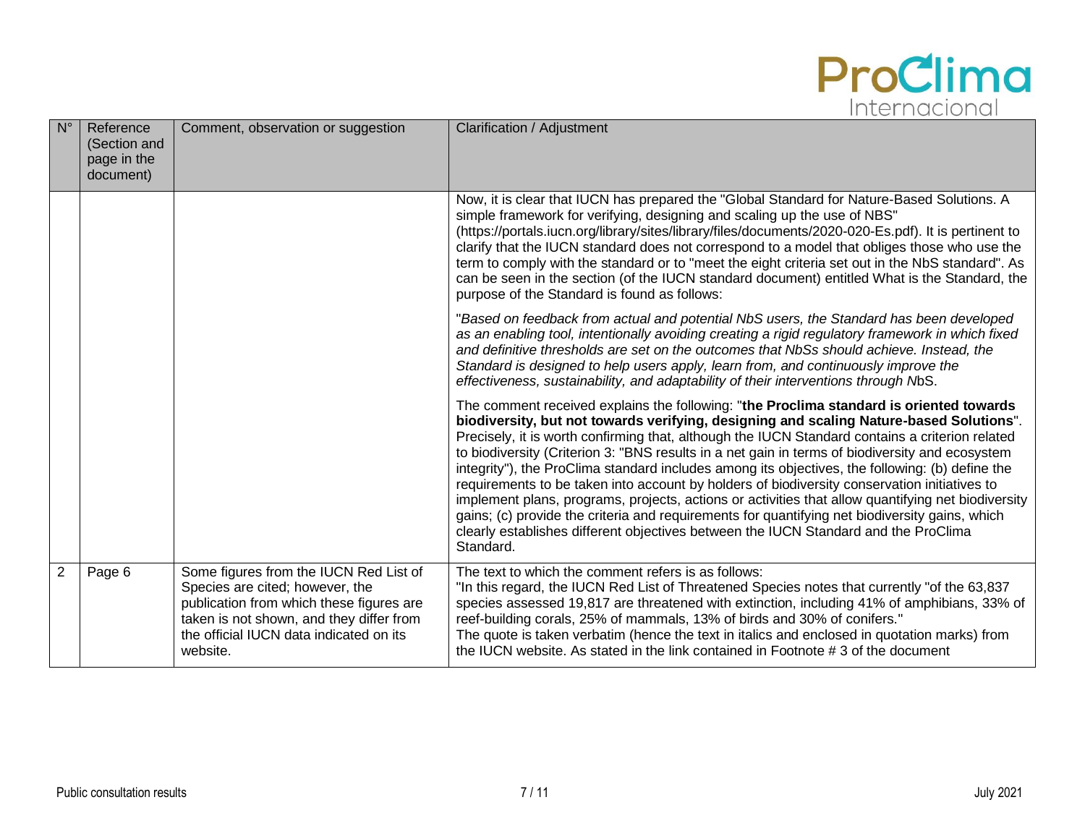

| $N^{\circ}$    | Reference<br>(Section and<br>page in the<br>document) | Comment, observation or suggestion                                                                                                                                                                                       | <b>Clarification / Adjustment</b>                                                                                                                                                                                                                                                                                                                                                                                                                                                                                                                                                                                                                                                                                                                                                                                                                                                                       |
|----------------|-------------------------------------------------------|--------------------------------------------------------------------------------------------------------------------------------------------------------------------------------------------------------------------------|---------------------------------------------------------------------------------------------------------------------------------------------------------------------------------------------------------------------------------------------------------------------------------------------------------------------------------------------------------------------------------------------------------------------------------------------------------------------------------------------------------------------------------------------------------------------------------------------------------------------------------------------------------------------------------------------------------------------------------------------------------------------------------------------------------------------------------------------------------------------------------------------------------|
|                |                                                       |                                                                                                                                                                                                                          | Now, it is clear that IUCN has prepared the "Global Standard for Nature-Based Solutions. A<br>simple framework for verifying, designing and scaling up the use of NBS"<br>(https://portals.iucn.org/library/sites/library/files/documents/2020-020-Es.pdf). It is pertinent to<br>clarify that the IUCN standard does not correspond to a model that obliges those who use the<br>term to comply with the standard or to "meet the eight criteria set out in the NbS standard". As<br>can be seen in the section (of the IUCN standard document) entitled What is the Standard, the<br>purpose of the Standard is found as follows:                                                                                                                                                                                                                                                                     |
|                |                                                       |                                                                                                                                                                                                                          | "Based on feedback from actual and potential NbS users, the Standard has been developed<br>as an enabling tool, intentionally avoiding creating a rigid regulatory framework in which fixed<br>and definitive thresholds are set on the outcomes that NbSs should achieve. Instead, the<br>Standard is designed to help users apply, learn from, and continuously improve the<br>effectiveness, sustainability, and adaptability of their interventions through NbS.                                                                                                                                                                                                                                                                                                                                                                                                                                    |
|                |                                                       |                                                                                                                                                                                                                          | The comment received explains the following: "the Proclima standard is oriented towards<br>biodiversity, but not towards verifying, designing and scaling Nature-based Solutions".<br>Precisely, it is worth confirming that, although the IUCN Standard contains a criterion related<br>to biodiversity (Criterion 3: "BNS results in a net gain in terms of biodiversity and ecosystem<br>integrity"), the ProClima standard includes among its objectives, the following: (b) define the<br>requirements to be taken into account by holders of biodiversity conservation initiatives to<br>implement plans, programs, projects, actions or activities that allow quantifying net biodiversity<br>gains; (c) provide the criteria and requirements for quantifying net biodiversity gains, which<br>clearly establishes different objectives between the IUCN Standard and the ProClima<br>Standard. |
| $\overline{2}$ | Page 6                                                | Some figures from the IUCN Red List of<br>Species are cited; however, the<br>publication from which these figures are<br>taken is not shown, and they differ from<br>the official IUCN data indicated on its<br>website. | The text to which the comment refers is as follows:<br>"In this regard, the IUCN Red List of Threatened Species notes that currently "of the 63,837<br>species assessed 19,817 are threatened with extinction, including 41% of amphibians, 33% of<br>reef-building corals, 25% of mammals, 13% of birds and 30% of conifers."<br>The quote is taken verbatim (hence the text in italics and enclosed in quotation marks) from<br>the IUCN website. As stated in the link contained in Footnote #3 of the document                                                                                                                                                                                                                                                                                                                                                                                      |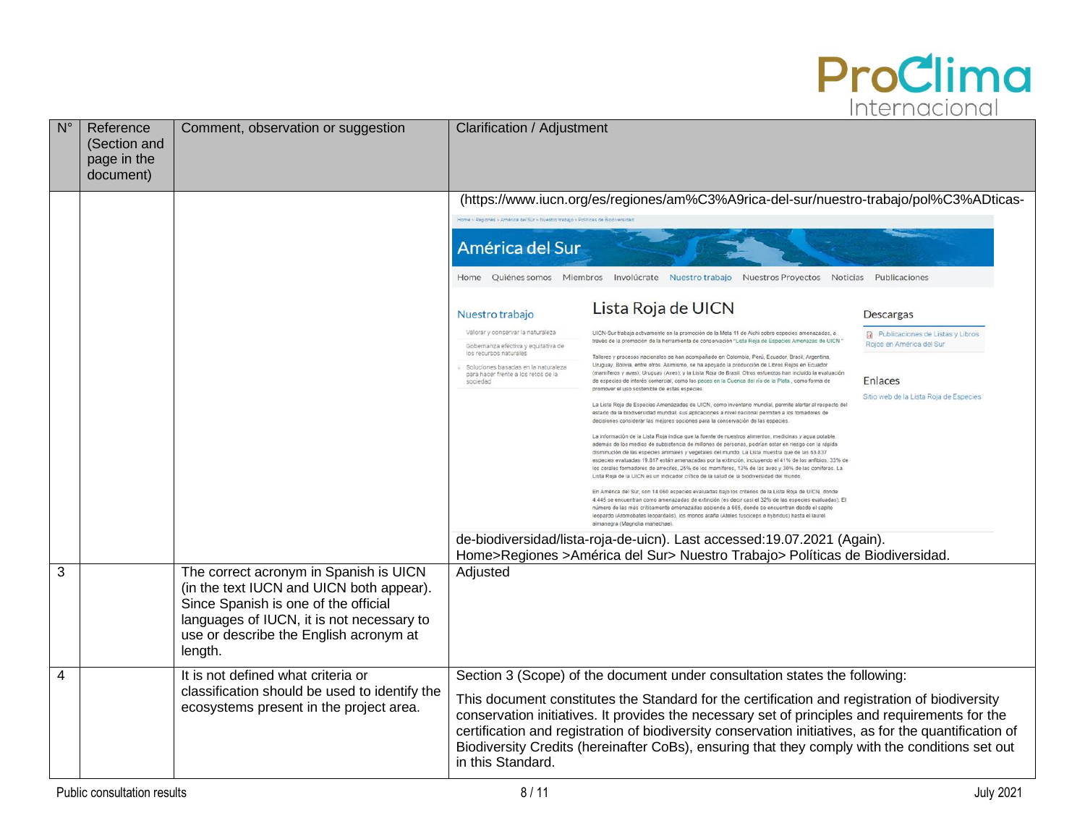

| $N^{\circ}$ | Reference<br>(Section and<br>page in the<br>document) | Comment, observation or suggestion                                                                                                                                                                                           | Clarification / Adjustment                                                                                                                                                                                                                                                                                                                                                                                                                                                                                                                                                                                                                                                                                                                                                                                                                                                                                                                                                                                                                                                                                                                                                                                                                                                                                                                                                                                                                                                                                                                                                                                 |  |
|-------------|-------------------------------------------------------|------------------------------------------------------------------------------------------------------------------------------------------------------------------------------------------------------------------------------|------------------------------------------------------------------------------------------------------------------------------------------------------------------------------------------------------------------------------------------------------------------------------------------------------------------------------------------------------------------------------------------------------------------------------------------------------------------------------------------------------------------------------------------------------------------------------------------------------------------------------------------------------------------------------------------------------------------------------------------------------------------------------------------------------------------------------------------------------------------------------------------------------------------------------------------------------------------------------------------------------------------------------------------------------------------------------------------------------------------------------------------------------------------------------------------------------------------------------------------------------------------------------------------------------------------------------------------------------------------------------------------------------------------------------------------------------------------------------------------------------------------------------------------------------------------------------------------------------------|--|
|             |                                                       |                                                                                                                                                                                                                              | (https://www.iucn.org/es/regiones/am%C3%A9rica-del-sur/nuestro-trabajo/pol%C3%ADticas-<br>Home > Regiones > América del Sur > Nuestro trabajo > Políticas de Biodiversidar<br>América del Sur<br>Home Quiénes somos Miembros Involúcrate Nuestro trabajo Nuestros Proyectos Noticias<br>Publicaciones                                                                                                                                                                                                                                                                                                                                                                                                                                                                                                                                                                                                                                                                                                                                                                                                                                                                                                                                                                                                                                                                                                                                                                                                                                                                                                      |  |
|             |                                                       |                                                                                                                                                                                                                              | Lista Roja de UICN<br>Nuestro trabajo<br>Descargas<br>Valorar y conservar la naturaleza<br>UICN-Sur trabaja activamente en la promoción de la Meta 11 de Aichi sobre especies amenazadas, a<br><b>R</b> Publicaciones de Listas y Libros<br>través de la promoción de la herramienta de conservación "Lista Roja de Especies Amenazas de UICN<br>Rojos en América del Sur<br>Gobernanza efectiva y equitativa de<br>los recursos naturales<br>Talleres y procesos nacionales se han acompañado en Colombia, Perú, Ecuador, Brasil, Argentina,<br>Uruguay, Bolivia, entre otros, Asimismo, se ha apovado la producción de Libros Roios en Ecuador<br>Soluciones basadas en la naturaleza<br>(mamíferos y aves); Uruguay (Aves); y la Lista Roja de Brasil. Otros esfuerzos han incluido la evaluación<br>para hacer frente a los retos de la                                                                                                                                                                                                                                                                                                                                                                                                                                                                                                                                                                                                                                                                                                                                                                |  |
|             |                                                       |                                                                                                                                                                                                                              | Enlaces<br>sociedad<br>de especies de interés comercial, como los peces en la Cuenca del río de la Plata, como forma de<br>promover el uso sostenible de estas especies.<br>Sitio web de la Lista Roja de Especies<br>La Lista Roia de Especies Amenazadas de UICN, como inventario mundial, permite alertar al respecto del<br>estado de la biodiversidad mundial; sus aplicaciones a nivel nacional permiten a los tomadores de<br>decisiones considerar las mejores opciones para la conservación de las especies<br>La información de la Lista Roja indica que la fuente de nuestros alimentos, medicinas y agua potable<br>además de los medios de subsistencia de millones de personas, podrían estar en riesgo con la rápida<br>disminución de las especies animales y vegetales del mundo. La Lista muestra que de las 63.837<br>especies evaluadas 19.817 están amenazadas por la extinción, incluvendo el 41% de los anfibios, 33% de<br>los corales formadores de arrecifes. 25% de los mamíferos. 13% de las aves y 30% de las coníferas. La<br>Lista Roja de la UICN es un indicador crítico de la salud de la biodiversidad del mundo<br>En América del Sur, son 14.060 especies evaluadas bajo los criterios de la Lista Roja de UICN, donde<br>4.445 se encuentran como amenazadas de extinción (es decir casi el 32% de las especies evaluadas). El<br>número de las más críticamente amenazadas asciende a 665, donde se encuentran desde el sapito<br>leopardo (Aromobates leopardalis), los monos araña (Ateles fusciceps e hybridus) hasta el laurel<br>almanegra (Magnolia mahechae) |  |
| 3           |                                                       | The correct acronym in Spanish is UICN<br>(in the text IUCN and UICN both appear).<br>Since Spanish is one of the official<br>languages of IUCN, it is not necessary to<br>use or describe the English acronym at<br>length. | de-biodiversidad/lista-roja-de-uicn). Last accessed:19.07.2021 (Again).<br>Home>Regiones >América del Sur> Nuestro Trabajo> Políticas de Biodiversidad.<br>Adjusted                                                                                                                                                                                                                                                                                                                                                                                                                                                                                                                                                                                                                                                                                                                                                                                                                                                                                                                                                                                                                                                                                                                                                                                                                                                                                                                                                                                                                                        |  |
| 4           |                                                       | It is not defined what criteria or<br>classification should be used to identify the<br>ecosystems present in the project area.                                                                                               | Section 3 (Scope) of the document under consultation states the following:<br>This document constitutes the Standard for the certification and registration of biodiversity<br>conservation initiatives. It provides the necessary set of principles and requirements for the<br>certification and registration of biodiversity conservation initiatives, as for the quantification of<br>Biodiversity Credits (hereinafter CoBs), ensuring that they comply with the conditions set out<br>in this Standard.                                                                                                                                                                                                                                                                                                                                                                                                                                                                                                                                                                                                                                                                                                                                                                                                                                                                                                                                                                                                                                                                                              |  |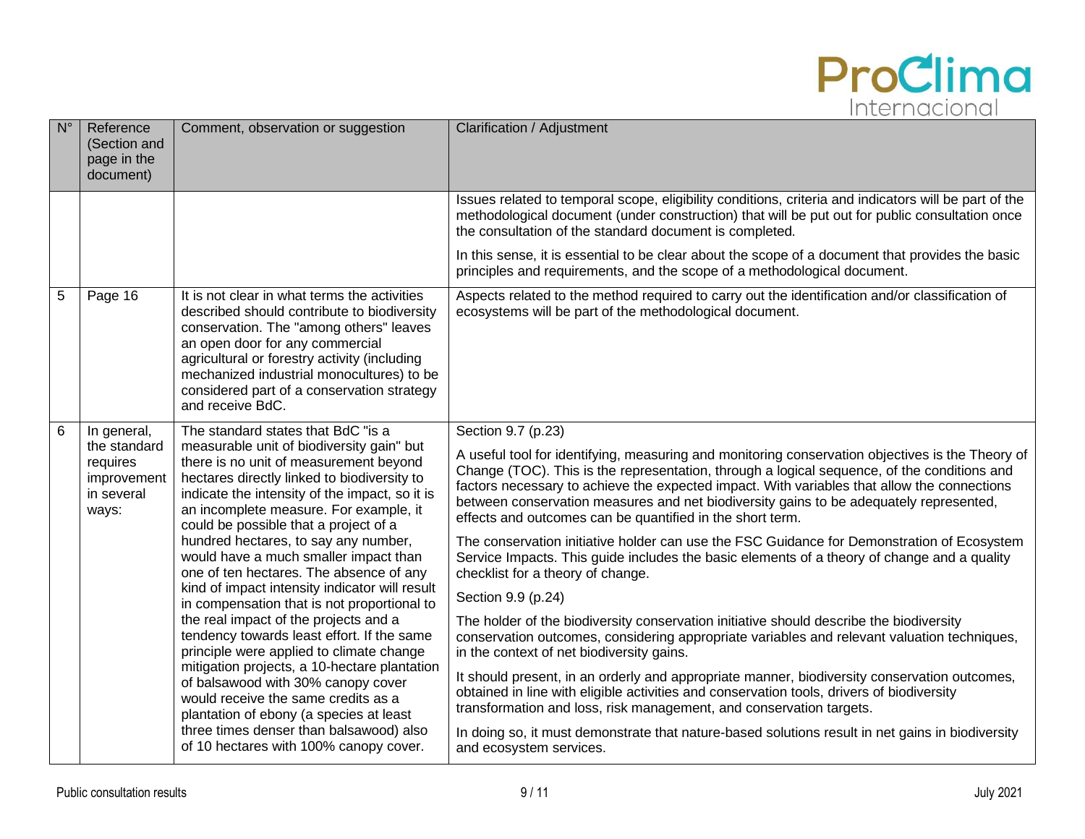

| $N^{\circ}$    | Reference<br>(Section and<br>page in the<br>document)                         | Comment, observation or suggestion                                                                                                                                                                                                                                                                                                                                                                                                                                                                                                                                                                                                                                                                                                                                                                                                                                                                                                         | Clarification / Adjustment                                                                                                                                                                                                                                                                                                                                                                                                                                                                                                                                                                                                                                                                                                                                                                                                                                                                                                                                                                                                                                                                                                                                                                                                                                                                                                                                                    |
|----------------|-------------------------------------------------------------------------------|--------------------------------------------------------------------------------------------------------------------------------------------------------------------------------------------------------------------------------------------------------------------------------------------------------------------------------------------------------------------------------------------------------------------------------------------------------------------------------------------------------------------------------------------------------------------------------------------------------------------------------------------------------------------------------------------------------------------------------------------------------------------------------------------------------------------------------------------------------------------------------------------------------------------------------------------|-------------------------------------------------------------------------------------------------------------------------------------------------------------------------------------------------------------------------------------------------------------------------------------------------------------------------------------------------------------------------------------------------------------------------------------------------------------------------------------------------------------------------------------------------------------------------------------------------------------------------------------------------------------------------------------------------------------------------------------------------------------------------------------------------------------------------------------------------------------------------------------------------------------------------------------------------------------------------------------------------------------------------------------------------------------------------------------------------------------------------------------------------------------------------------------------------------------------------------------------------------------------------------------------------------------------------------------------------------------------------------|
|                |                                                                               |                                                                                                                                                                                                                                                                                                                                                                                                                                                                                                                                                                                                                                                                                                                                                                                                                                                                                                                                            | Issues related to temporal scope, eligibility conditions, criteria and indicators will be part of the<br>methodological document (under construction) that will be put out for public consultation once<br>the consultation of the standard document is completed.                                                                                                                                                                                                                                                                                                                                                                                                                                                                                                                                                                                                                                                                                                                                                                                                                                                                                                                                                                                                                                                                                                            |
|                |                                                                               |                                                                                                                                                                                                                                                                                                                                                                                                                                                                                                                                                                                                                                                                                                                                                                                                                                                                                                                                            | In this sense, it is essential to be clear about the scope of a document that provides the basic<br>principles and requirements, and the scope of a methodological document.                                                                                                                                                                                                                                                                                                                                                                                                                                                                                                                                                                                                                                                                                                                                                                                                                                                                                                                                                                                                                                                                                                                                                                                                  |
| $\overline{5}$ | Page 16                                                                       | It is not clear in what terms the activities<br>described should contribute to biodiversity<br>conservation. The "among others" leaves<br>an open door for any commercial<br>agricultural or forestry activity (including<br>mechanized industrial monocultures) to be<br>considered part of a conservation strategy<br>and receive BdC.                                                                                                                                                                                                                                                                                                                                                                                                                                                                                                                                                                                                   | Aspects related to the method required to carry out the identification and/or classification of<br>ecosystems will be part of the methodological document.                                                                                                                                                                                                                                                                                                                                                                                                                                                                                                                                                                                                                                                                                                                                                                                                                                                                                                                                                                                                                                                                                                                                                                                                                    |
| 6              | In general,<br>the standard<br>requires<br>improvement<br>in several<br>ways: | The standard states that BdC "is a<br>measurable unit of biodiversity gain" but<br>there is no unit of measurement beyond<br>hectares directly linked to biodiversity to<br>indicate the intensity of the impact, so it is<br>an incomplete measure. For example, it<br>could be possible that a project of a<br>hundred hectares, to say any number,<br>would have a much smaller impact than<br>one of ten hectares. The absence of any<br>kind of impact intensity indicator will result<br>in compensation that is not proportional to<br>the real impact of the projects and a<br>tendency towards least effort. If the same<br>principle were applied to climate change<br>mitigation projects, a 10-hectare plantation<br>of balsawood with 30% canopy cover<br>would receive the same credits as a<br>plantation of ebony (a species at least<br>three times denser than balsawood) also<br>of 10 hectares with 100% canopy cover. | Section 9.7 (p.23)<br>A useful tool for identifying, measuring and monitoring conservation objectives is the Theory of<br>Change (TOC). This is the representation, through a logical sequence, of the conditions and<br>factors necessary to achieve the expected impact. With variables that allow the connections<br>between conservation measures and net biodiversity gains to be adequately represented,<br>effects and outcomes can be quantified in the short term.<br>The conservation initiative holder can use the FSC Guidance for Demonstration of Ecosystem<br>Service Impacts. This guide includes the basic elements of a theory of change and a quality<br>checklist for a theory of change.<br>Section 9.9 (p.24)<br>The holder of the biodiversity conservation initiative should describe the biodiversity<br>conservation outcomes, considering appropriate variables and relevant valuation techniques,<br>in the context of net biodiversity gains.<br>It should present, in an orderly and appropriate manner, biodiversity conservation outcomes,<br>obtained in line with eligible activities and conservation tools, drivers of biodiversity<br>transformation and loss, risk management, and conservation targets.<br>In doing so, it must demonstrate that nature-based solutions result in net gains in biodiversity<br>and ecosystem services. |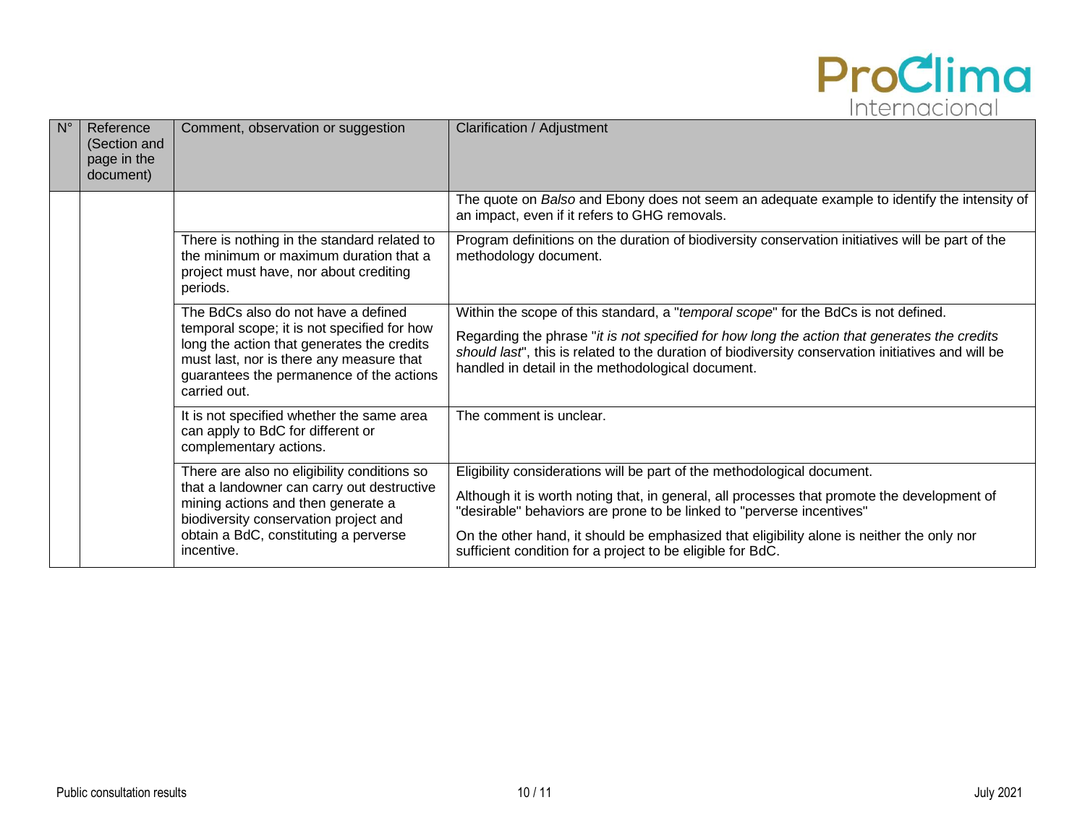

| $N^{\circ}$ | Reference<br>(Section and<br>page in the<br>document) | Comment, observation or suggestion                                                                                                                                                                | Clarification / Adjustment                                                                                                                                                                                                                              |
|-------------|-------------------------------------------------------|---------------------------------------------------------------------------------------------------------------------------------------------------------------------------------------------------|---------------------------------------------------------------------------------------------------------------------------------------------------------------------------------------------------------------------------------------------------------|
|             |                                                       |                                                                                                                                                                                                   | The quote on Balso and Ebony does not seem an adequate example to identify the intensity of<br>an impact, even if it refers to GHG removals.                                                                                                            |
|             |                                                       | There is nothing in the standard related to<br>the minimum or maximum duration that a<br>project must have, nor about crediting<br>periods.                                                       | Program definitions on the duration of biodiversity conservation initiatives will be part of the<br>methodology document.                                                                                                                               |
|             |                                                       | The BdCs also do not have a defined                                                                                                                                                               | Within the scope of this standard, a "temporal scope" for the BdCs is not defined.                                                                                                                                                                      |
|             |                                                       | temporal scope; it is not specified for how<br>long the action that generates the credits<br>must last, nor is there any measure that<br>guarantees the permanence of the actions<br>carried out. | Regarding the phrase "it is not specified for how long the action that generates the credits<br>should last", this is related to the duration of biodiversity conservation initiatives and will be<br>handled in detail in the methodological document. |
|             |                                                       | It is not specified whether the same area<br>can apply to BdC for different or<br>complementary actions.                                                                                          | The comment is unclear.                                                                                                                                                                                                                                 |
|             |                                                       | There are also no eligibility conditions so                                                                                                                                                       | Eligibility considerations will be part of the methodological document.                                                                                                                                                                                 |
|             |                                                       | that a landowner can carry out destructive<br>mining actions and then generate a<br>biodiversity conservation project and                                                                         | Although it is worth noting that, in general, all processes that promote the development of<br>"desirable" behaviors are prone to be linked to "perverse incentives"                                                                                    |
|             |                                                       | obtain a BdC, constituting a perverse<br>incentive.                                                                                                                                               | On the other hand, it should be emphasized that eligibility alone is neither the only nor<br>sufficient condition for a project to be eligible for BdC.                                                                                                 |